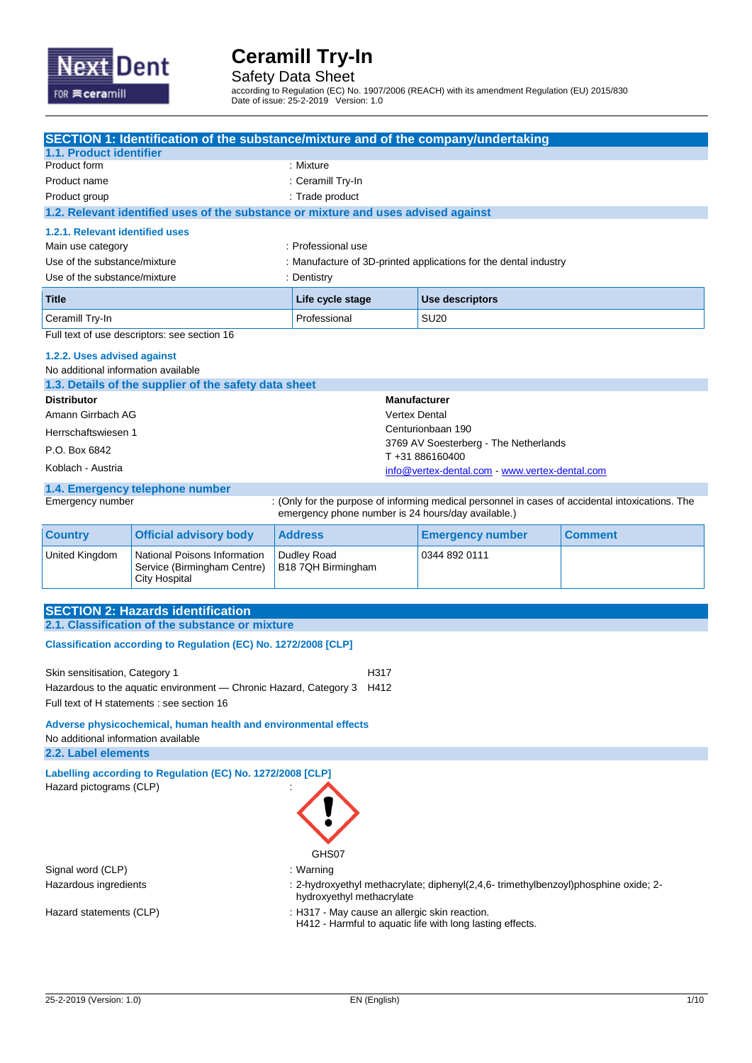

Safety Data Sheet

according to Regulation (EC) No. 1907/2006 (REACH) with its amendment Regulation (EU) 2015/830 Date of issue: 25-2-2019 Version: 1.0

|                                                                 | SECTION 1: Identification of the substance/mixture and of the company/undertaking  |                                                    |                                                                                     |                                                                  |                                                                                                  |
|-----------------------------------------------------------------|------------------------------------------------------------------------------------|----------------------------------------------------|-------------------------------------------------------------------------------------|------------------------------------------------------------------|--------------------------------------------------------------------------------------------------|
| 1.1. Product identifier                                         |                                                                                    |                                                    |                                                                                     |                                                                  |                                                                                                  |
| Product form                                                    |                                                                                    |                                                    | : Mixture                                                                           |                                                                  |                                                                                                  |
| Product name<br>Product group                                   |                                                                                    | : Ceramill Try-In<br>: Trade product               |                                                                                     |                                                                  |                                                                                                  |
|                                                                 | 1.2. Relevant identified uses of the substance or mixture and uses advised against |                                                    |                                                                                     |                                                                  |                                                                                                  |
| 1.2.1. Relevant identified uses                                 |                                                                                    |                                                    |                                                                                     |                                                                  |                                                                                                  |
| Main use category                                               |                                                                                    | : Professional use                                 |                                                                                     |                                                                  |                                                                                                  |
| Use of the substance/mixture                                    |                                                                                    |                                                    |                                                                                     | : Manufacture of 3D-printed applications for the dental industry |                                                                                                  |
| Use of the substance/mixture                                    |                                                                                    | : Dentistry                                        |                                                                                     |                                                                  |                                                                                                  |
| Title                                                           |                                                                                    | Life cycle stage                                   |                                                                                     | Use descriptors                                                  |                                                                                                  |
| Ceramill Try-In                                                 |                                                                                    | Professional                                       | <b>SU20</b>                                                                         |                                                                  |                                                                                                  |
|                                                                 | Full text of use descriptors: see section 16                                       |                                                    |                                                                                     |                                                                  |                                                                                                  |
| 1.2.2. Uses advised against                                     |                                                                                    |                                                    |                                                                                     |                                                                  |                                                                                                  |
| No additional information available                             |                                                                                    |                                                    |                                                                                     |                                                                  |                                                                                                  |
|                                                                 | 1.3. Details of the supplier of the safety data sheet                              |                                                    |                                                                                     |                                                                  |                                                                                                  |
| <b>Distributor</b>                                              |                                                                                    |                                                    | <b>Manufacturer</b>                                                                 |                                                                  |                                                                                                  |
| Amann Girrbach AG                                               |                                                                                    |                                                    | <b>Vertex Dental</b>                                                                | Centurionbaan 190                                                |                                                                                                  |
| Herrschaftswiesen 1                                             |                                                                                    |                                                    |                                                                                     | 3769 AV Soesterberg - The Netherlands                            |                                                                                                  |
| P.O. Box 6842                                                   |                                                                                    |                                                    |                                                                                     | T+31886160400                                                    |                                                                                                  |
| Koblach - Austria                                               |                                                                                    |                                                    |                                                                                     | info@vertex-dental.com - www.vertex-dental.com                   |                                                                                                  |
|                                                                 | 1.4. Emergency telephone number                                                    |                                                    |                                                                                     |                                                                  |                                                                                                  |
| Emergency number                                                |                                                                                    | emergency phone number is 24 hours/day available.) |                                                                                     |                                                                  | : (Only for the purpose of informing medical personnel in cases of accidental intoxications. The |
| <b>Country</b>                                                  | <b>Official advisory body</b>                                                      | <b>Address</b>                                     |                                                                                     | <b>Emergency number</b>                                          | <b>Comment</b>                                                                                   |
| United Kingdom                                                  | National Poisons Information<br>Service (Birmingham Centre)<br>City Hospital       | Dudley Road<br>B18 7QH Birmingham                  |                                                                                     | 0344 892 0111                                                    |                                                                                                  |
|                                                                 |                                                                                    |                                                    |                                                                                     |                                                                  |                                                                                                  |
|                                                                 | <b>SECTION 2: Hazards identification</b>                                           |                                                    |                                                                                     |                                                                  |                                                                                                  |
|                                                                 | 2.1. Classification of the substance or mixture                                    |                                                    |                                                                                     |                                                                  |                                                                                                  |
|                                                                 | Classification according to Regulation (EC) No. 1272/2008 [CLP]                    |                                                    |                                                                                     |                                                                  |                                                                                                  |
| Skin sensitisation, Category 1                                  |                                                                                    | H317                                               |                                                                                     |                                                                  |                                                                                                  |
|                                                                 | Hazardous to the aquatic environment - Chronic Hazard, Category 3                  | H412                                               |                                                                                     |                                                                  |                                                                                                  |
| Full text of H statements : see section 16                      |                                                                                    |                                                    |                                                                                     |                                                                  |                                                                                                  |
| Adverse physicochemical, human health and environmental effects |                                                                                    |                                                    |                                                                                     |                                                                  |                                                                                                  |
| No additional information available<br>2.2. Label elements      |                                                                                    |                                                    |                                                                                     |                                                                  |                                                                                                  |
|                                                                 | Labelling according to Regulation (EC) No. 1272/2008 [CLP]                         |                                                    |                                                                                     |                                                                  |                                                                                                  |
| Hazard pictograms (CLP)                                         |                                                                                    |                                                    |                                                                                     |                                                                  |                                                                                                  |
|                                                                 |                                                                                    |                                                    |                                                                                     |                                                                  |                                                                                                  |
|                                                                 |                                                                                    |                                                    |                                                                                     |                                                                  |                                                                                                  |
|                                                                 |                                                                                    |                                                    |                                                                                     |                                                                  |                                                                                                  |
|                                                                 |                                                                                    | GHS07                                              |                                                                                     |                                                                  |                                                                                                  |
| Signal word (CLP)                                               |                                                                                    | : Warning                                          |                                                                                     |                                                                  |                                                                                                  |
| Hazardous ingredients                                           |                                                                                    |                                                    | : 2-hydroxyethyl methacrylate; diphenyl(2,4,6- trimethylbenzoyl)phosphine oxide; 2- |                                                                  |                                                                                                  |
| Hazard statements (CLP)                                         |                                                                                    |                                                    | hydroxyethyl methacrylate<br>: H317 - May cause an allergic skin reaction.          |                                                                  |                                                                                                  |
|                                                                 |                                                                                    |                                                    |                                                                                     | H412 - Harmful to aquatic life with long lasting effects.        |                                                                                                  |
|                                                                 |                                                                                    |                                                    |                                                                                     |                                                                  |                                                                                                  |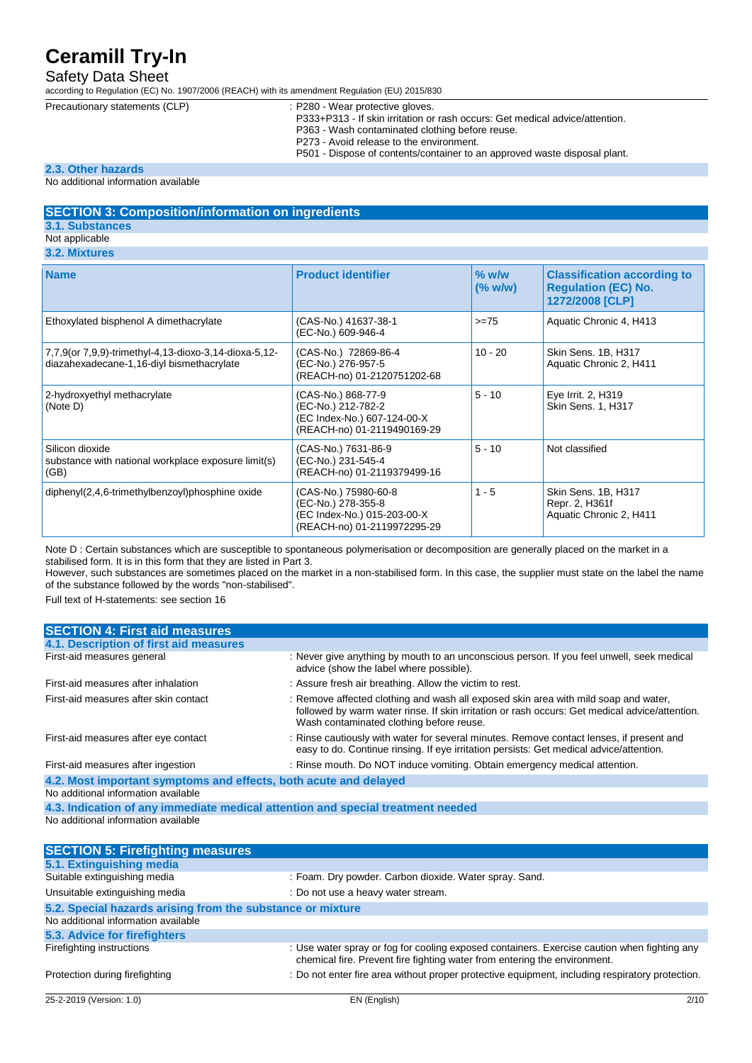## Safety Data Sheet

according to Regulation (EC) No. 1907/2006 (REACH) with its amendment Regulation (EU) 2015/830

- Precautionary statements (CLP) : P280 Wear protective gloves. P333+P313 - If skin irritation or rash occurs: Get medical advice/attention.
	-
	- P363 Wash contaminated clothing before reuse.
	- P273 Avoid release to the environment.
	- P501 Dispose of contents/container to an approved waste disposal plant.

#### **2.3. Other hazards**

#### No additional information available

#### **SECTION 3: Composition/information on ingredients**

**3.1. Substances**

#### Not applicable

**3.2. Mixture** 

| <b>Name</b>                                                                                        | <b>Product identifier</b>                                                                                | $%$ w/w<br>$(\%$ w/w) | <b>Classification according to</b><br><b>Regulation (EC) No.</b><br>1272/2008 [CLP] |
|----------------------------------------------------------------------------------------------------|----------------------------------------------------------------------------------------------------------|-----------------------|-------------------------------------------------------------------------------------|
| Ethoxylated bisphenol A dimethacrylate                                                             | (CAS-No.) 41637-38-1<br>(EC-No.) 609-946-4                                                               | $>= 75$               | Aquatic Chronic 4, H413                                                             |
| 7,7,9(or 7,9,9)-trimethyl-4,13-dioxo-3,14-dioxa-5,12-<br>diazahexadecane-1,16-diyl bismethacrylate | (CAS-No.) 72869-86-4<br>(EC-No.) 276-957-5<br>(REACH-no) 01-2120751202-68                                | $10 - 20$             | Skin Sens. 1B, H317<br>Aquatic Chronic 2, H411                                      |
| 2-hydroxyethyl methacrylate<br>(Note D)                                                            | (CAS-No.) 868-77-9<br>(EC-No.) 212-782-2<br>(EC Index-No.) 607-124-00-X<br>(REACH-no) 01-2119490169-29   | $5 - 10$              | Eye Irrit. 2, H319<br>Skin Sens. 1, H317                                            |
| Silicon dioxide<br>substance with national workplace exposure limit(s)<br>(GB)                     | (CAS-No.) 7631-86-9<br>(EC-No.) 231-545-4<br>(REACH-no) 01-2119379499-16                                 | $5 - 10$              | Not classified                                                                      |
| diphenyl(2,4,6-trimethylbenzoyl)phosphine oxide                                                    | (CAS-No.) 75980-60-8<br>(EC-No.) 278-355-8<br>(EC Index-No.) 015-203-00-X<br>(REACH-no) 01-2119972295-29 | $1 - 5$               | Skin Sens. 1B, H317<br>Repr. 2, H361f<br>Aquatic Chronic 2, H411                    |

Note D : Certain substances which are susceptible to spontaneous polymerisation or decomposition are generally placed on the market in a stabilised form. It is in this form that they are listed in Part 3.

However, such substances are sometimes placed on the market in a non-stabilised form. In this case, the supplier must state on the label the name of the substance followed by the words "non-stabilised".

Full text of H-statements: see section 16

| <b>SECTION 4: First aid measures</b>                             |                                                                                                                                                                                                                                   |
|------------------------------------------------------------------|-----------------------------------------------------------------------------------------------------------------------------------------------------------------------------------------------------------------------------------|
| 4.1. Description of first aid measures                           |                                                                                                                                                                                                                                   |
| First-aid measures general                                       | : Never give anything by mouth to an unconscious person. If you feel unwell, seek medical<br>advice (show the label where possible).                                                                                              |
| First-aid measures after inhalation                              | : Assure fresh air breathing. Allow the victim to rest.                                                                                                                                                                           |
| First-aid measures after skin contact                            | : Remove affected clothing and wash all exposed skin area with mild soap and water,<br>followed by warm water rinse. If skin irritation or rash occurs: Get medical advice/attention.<br>Wash contaminated clothing before reuse. |
| First-aid measures after eye contact                             | : Rinse cautiously with water for several minutes. Remove contact lenses, if present and<br>easy to do. Continue rinsing. If eye irritation persists: Get medical advice/attention.                                               |
| First-aid measures after ingestion                               | : Rinse mouth. Do NOT induce vomiting. Obtain emergency medical attention.                                                                                                                                                        |
| 4.2. Most important symptoms and effects, both acute and delayed |                                                                                                                                                                                                                                   |
| No additional information available                              |                                                                                                                                                                                                                                   |
|                                                                  |                                                                                                                                                                                                                                   |

**4.3. Indication of any immediate medical attention and special treatment needed** No additional information available

| <b>SECTION 5: Firefighting measures</b>                    |                                                                                                                                                                          |
|------------------------------------------------------------|--------------------------------------------------------------------------------------------------------------------------------------------------------------------------|
| 5.1. Extinguishing media                                   |                                                                                                                                                                          |
| Suitable extinguishing media                               | : Foam. Dry powder. Carbon dioxide. Water spray. Sand.                                                                                                                   |
| Unsuitable extinguishing media                             | : Do not use a heavy water stream.                                                                                                                                       |
| 5.2. Special hazards arising from the substance or mixture |                                                                                                                                                                          |
| No additional information available                        |                                                                                                                                                                          |
| 5.3. Advice for firefighters                               |                                                                                                                                                                          |
| Firefighting instructions                                  | : Use water spray or fog for cooling exposed containers. Exercise caution when fighting any<br>chemical fire. Prevent fire fighting water from entering the environment. |
| Protection during firefighting                             | : Do not enter fire area without proper protective equipment, including respiratory protection.                                                                          |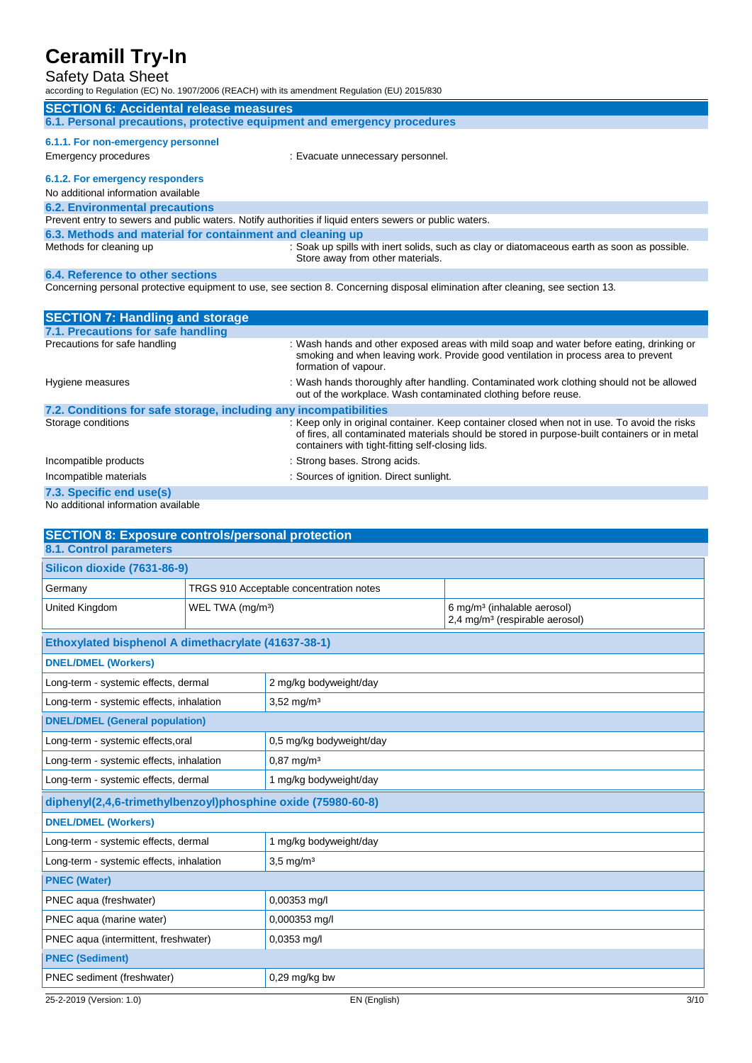## Safety Data Sheet

according to Regulation (EC) No. 1907/2006 (REACH) with its amendment Regulation (EU) 2015/830

|                                                           | according to Regulation (EQ) NO. 1907/2000 (REAGH) With its amendment Regulation (EQ) 2019/030                                                                                                         |
|-----------------------------------------------------------|--------------------------------------------------------------------------------------------------------------------------------------------------------------------------------------------------------|
| <b>SECTION 6: Accidental release measures</b>             |                                                                                                                                                                                                        |
|                                                           | 6.1. Personal precautions, protective equipment and emergency procedures                                                                                                                               |
| 6.1.1. For non-emergency personnel                        |                                                                                                                                                                                                        |
| Emergency procedures                                      | : Evacuate unnecessary personnel.                                                                                                                                                                      |
| 6.1.2. For emergency responders                           |                                                                                                                                                                                                        |
| No additional information available                       |                                                                                                                                                                                                        |
| <b>6.2. Environmental precautions</b>                     |                                                                                                                                                                                                        |
|                                                           | Prevent entry to sewers and public waters. Notify authorities if liquid enters sewers or public waters.                                                                                                |
| 6.3. Methods and material for containment and cleaning up |                                                                                                                                                                                                        |
| Methods for cleaning up                                   | : Soak up spills with inert solids, such as clay or diatomaceous earth as soon as possible.<br>Store away from other materials.                                                                        |
| 6.4. Reference to other sections                          |                                                                                                                                                                                                        |
|                                                           | Concerning personal protective equipment to use, see section 8. Concerning disposal elimination after cleaning, see section 13.                                                                        |
|                                                           |                                                                                                                                                                                                        |
| <b>SECTION 7: Handling and storage</b>                    |                                                                                                                                                                                                        |
| 7.1. Precautions for safe handling                        |                                                                                                                                                                                                        |
| Precautions for safe handling                             | : Wash hands and other exposed areas with mild soap and water before eating, drinking or<br>smoking and when leaving work. Provide good ventilation in process area to prevent<br>formation of vapour. |
| Hygiene measures                                          | : Wash hands thoroughly after handling. Contaminated work clothing should not be allowed                                                                                                               |

|                                                                   | out of the workplace. Wash contaminated clothing before reuse.                                                                                                                                                                                    |
|-------------------------------------------------------------------|---------------------------------------------------------------------------------------------------------------------------------------------------------------------------------------------------------------------------------------------------|
| 7.2. Conditions for safe storage, including any incompatibilities |                                                                                                                                                                                                                                                   |
| Storage conditions                                                | : Keep only in original container. Keep container closed when not in use. To avoid the risks<br>of fires, all contaminated materials should be stored in purpose-built containers or in metal<br>containers with tight-fitting self-closing lids. |
| Incompatible products                                             | : Strong bases. Strong acids.                                                                                                                                                                                                                     |
| Incompatible materials                                            | : Sources of ignition. Direct sunlight.                                                                                                                                                                                                           |
| 7.3. Specific end use(s)                                          |                                                                                                                                                                                                                                                   |

#### No additional information available

| <b>SECTION 8: Exposure controls/personal protection</b>      |                              |                                         |                                                                                       |  |
|--------------------------------------------------------------|------------------------------|-----------------------------------------|---------------------------------------------------------------------------------------|--|
| <b>8.1. Control parameters</b>                               |                              |                                         |                                                                                       |  |
| <b>Silicon dioxide (7631-86-9)</b>                           |                              |                                         |                                                                                       |  |
| Germany                                                      |                              | TRGS 910 Acceptable concentration notes |                                                                                       |  |
| United Kingdom                                               | WEL TWA (mg/m <sup>3</sup> ) |                                         | 6 mg/m <sup>3</sup> (inhalable aerosol)<br>2,4 mg/m <sup>3</sup> (respirable aerosol) |  |
| Ethoxylated bisphenol A dimethacrylate (41637-38-1)          |                              |                                         |                                                                                       |  |
| <b>DNEL/DMEL (Workers)</b>                                   |                              |                                         |                                                                                       |  |
| Long-term - systemic effects, dermal                         |                              | 2 mg/kg bodyweight/day                  |                                                                                       |  |
| Long-term - systemic effects, inhalation                     |                              | $3,52 \text{ mg/m}^3$                   |                                                                                       |  |
| <b>DNEL/DMEL (General population)</b>                        |                              |                                         |                                                                                       |  |
| Long-term - systemic effects, oral                           |                              | 0,5 mg/kg bodyweight/day                |                                                                                       |  |
| Long-term - systemic effects, inhalation                     |                              | $0,87 \text{ mg/m}^3$                   |                                                                                       |  |
| Long-term - systemic effects, dermal                         |                              | 1 mg/kg bodyweight/day                  |                                                                                       |  |
| diphenyl(2,4,6-trimethylbenzoyl)phosphine oxide (75980-60-8) |                              |                                         |                                                                                       |  |
| <b>DNEL/DMEL (Workers)</b>                                   |                              |                                         |                                                                                       |  |
| Long-term - systemic effects, dermal                         |                              | 1 mg/kg bodyweight/day                  |                                                                                       |  |
| Long-term - systemic effects, inhalation                     |                              | $3.5 \text{ mg/m}^3$                    |                                                                                       |  |
| <b>PNEC (Water)</b>                                          |                              |                                         |                                                                                       |  |
| PNEC aqua (freshwater)                                       |                              | 0,00353 mg/l                            |                                                                                       |  |
| PNEC aqua (marine water)                                     |                              | 0,000353 mg/l                           |                                                                                       |  |
| PNEC aqua (intermittent, freshwater)                         |                              | 0,0353 mg/l                             |                                                                                       |  |
| <b>PNEC (Sediment)</b>                                       |                              |                                         |                                                                                       |  |
| PNEC sediment (freshwater)                                   |                              | $0,29$ mg/kg bw                         |                                                                                       |  |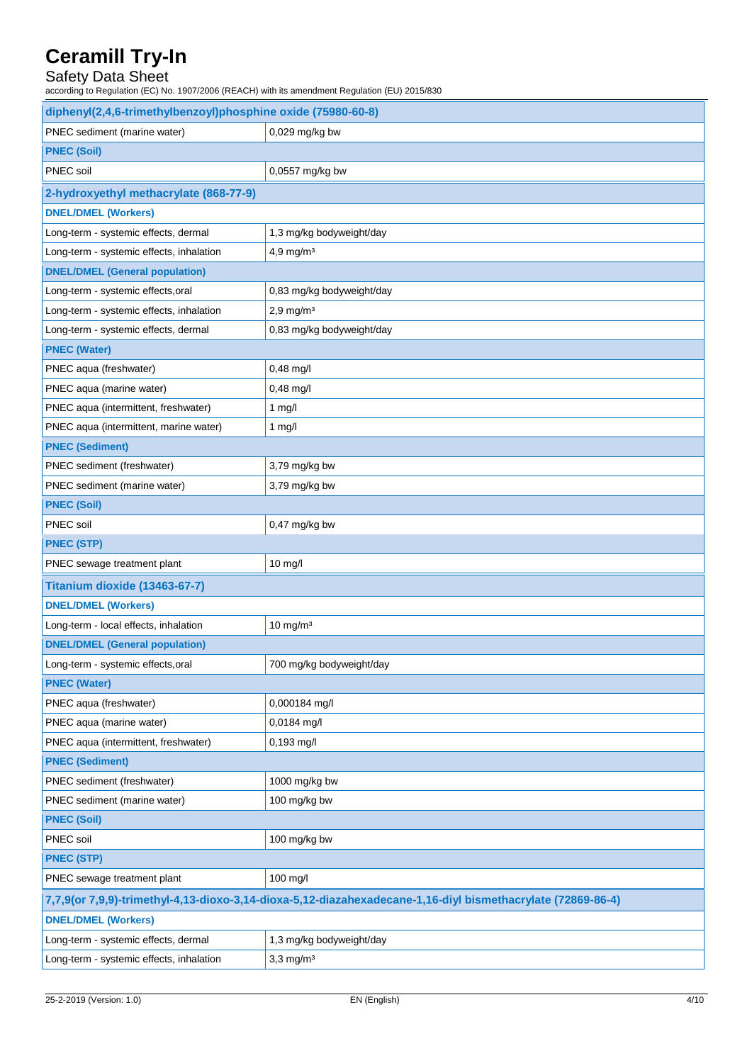## Safety Data Sheet

according to Regulation (EC) No. 1907/2006 (REACH) with its amendment Regulation (EU) 2015/830

| diphenyl(2,4,6-trimethylbenzoyl)phosphine oxide (75980-60-8) |                                                                                                             |  |  |
|--------------------------------------------------------------|-------------------------------------------------------------------------------------------------------------|--|--|
| PNEC sediment (marine water)                                 | 0,029 mg/kg bw                                                                                              |  |  |
| <b>PNEC (Soil)</b>                                           |                                                                                                             |  |  |
| PNEC soil                                                    | 0,0557 mg/kg bw                                                                                             |  |  |
| 2-hydroxyethyl methacrylate (868-77-9)                       |                                                                                                             |  |  |
| <b>DNEL/DMEL (Workers)</b>                                   |                                                                                                             |  |  |
| Long-term - systemic effects, dermal                         | 1,3 mg/kg bodyweight/day                                                                                    |  |  |
| Long-term - systemic effects, inhalation                     | $4,9$ mg/m $3$                                                                                              |  |  |
| <b>DNEL/DMEL (General population)</b>                        |                                                                                                             |  |  |
| Long-term - systemic effects, oral                           | 0,83 mg/kg bodyweight/day                                                                                   |  |  |
| Long-term - systemic effects, inhalation                     | $2,9$ mg/m <sup>3</sup>                                                                                     |  |  |
| Long-term - systemic effects, dermal                         | 0,83 mg/kg bodyweight/day                                                                                   |  |  |
| <b>PNEC (Water)</b>                                          |                                                                                                             |  |  |
| PNEC aqua (freshwater)                                       | 0,48 mg/l                                                                                                   |  |  |
| PNEC aqua (marine water)                                     | 0,48 mg/l                                                                                                   |  |  |
| PNEC aqua (intermittent, freshwater)                         | $1$ mg/l                                                                                                    |  |  |
| PNEC aqua (intermittent, marine water)                       | $1$ mg/l                                                                                                    |  |  |
| <b>PNEC (Sediment)</b>                                       |                                                                                                             |  |  |
| PNEC sediment (freshwater)                                   | 3,79 mg/kg bw                                                                                               |  |  |
| PNEC sediment (marine water)                                 | 3,79 mg/kg bw                                                                                               |  |  |
| <b>PNEC (Soil)</b>                                           |                                                                                                             |  |  |
| PNEC soil                                                    | $0,47$ mg/kg bw                                                                                             |  |  |
| <b>PNEC (STP)</b>                                            |                                                                                                             |  |  |
| PNEC sewage treatment plant                                  | 10 mg/l                                                                                                     |  |  |
| Titanium dioxide (13463-67-7)                                |                                                                                                             |  |  |
| <b>DNEL/DMEL (Workers)</b>                                   |                                                                                                             |  |  |
| Long-term - local effects, inhalation                        | $10$ mg/m <sup>3</sup>                                                                                      |  |  |
| <b>DNEL/DMEL (General population)</b>                        |                                                                                                             |  |  |
| Long-term - systemic effects, oral                           | 700 mg/kg bodyweight/day                                                                                    |  |  |
| <b>PNEC (Water)</b>                                          |                                                                                                             |  |  |
| PNEC aqua (freshwater)                                       | 0,000184 mg/l                                                                                               |  |  |
| PNEC aqua (marine water)                                     | 0,0184 mg/l                                                                                                 |  |  |
| PNEC aqua (intermittent, freshwater)                         | 0,193 mg/l                                                                                                  |  |  |
| <b>PNEC (Sediment)</b>                                       |                                                                                                             |  |  |
| PNEC sediment (freshwater)                                   | 1000 mg/kg bw                                                                                               |  |  |
| PNEC sediment (marine water)                                 | 100 mg/kg bw                                                                                                |  |  |
| <b>PNEC (Soil)</b>                                           |                                                                                                             |  |  |
| PNEC soil                                                    | 100 mg/kg bw                                                                                                |  |  |
| <b>PNEC (STP)</b>                                            |                                                                                                             |  |  |
| PNEC sewage treatment plant                                  | 100 mg/l                                                                                                    |  |  |
|                                                              | 7,7,9(or 7,9,9)-trimethyl-4,13-dioxo-3,14-dioxa-5,12-diazahexadecane-1,16-diyl bismethacrylate (72869-86-4) |  |  |
| <b>DNEL/DMEL (Workers)</b>                                   |                                                                                                             |  |  |
| Long-term - systemic effects, dermal                         | 1,3 mg/kg bodyweight/day                                                                                    |  |  |
| Long-term - systemic effects, inhalation                     | $3,3$ mg/m <sup>3</sup>                                                                                     |  |  |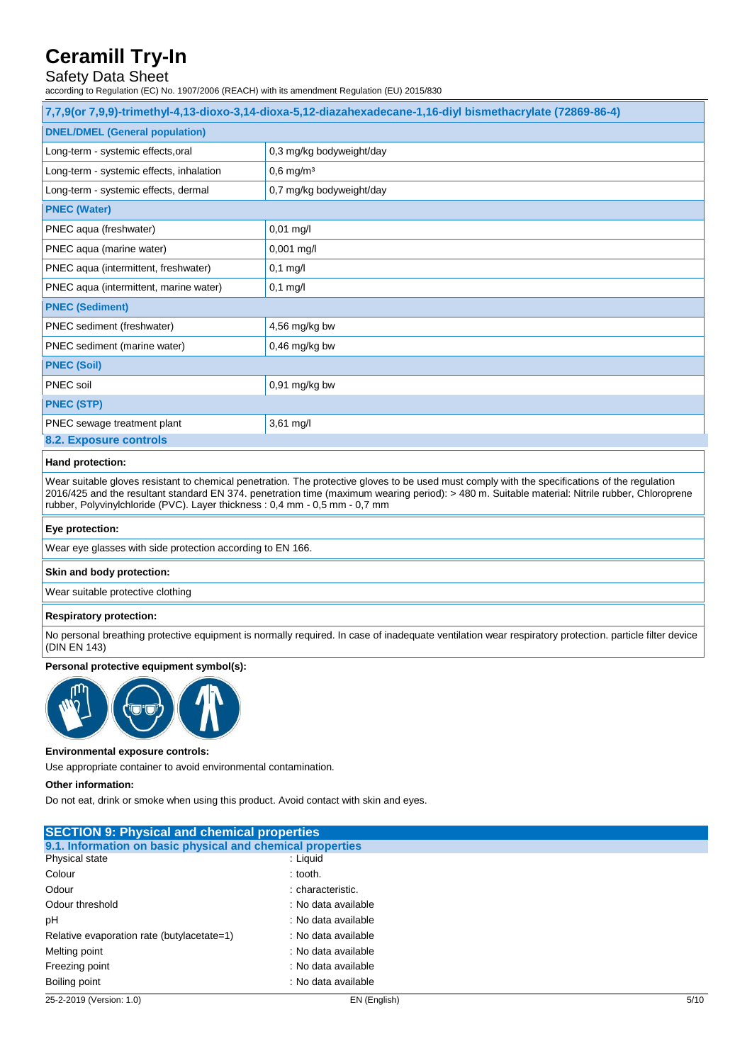## Safety Data Sheet

according to Regulation (EC) No. 1907/2006 (REACH) with its amendment Regulation (EU) 2015/830

| 7,7,9(or 7,9,9)-trimethyl-4,13-dioxo-3,14-dioxa-5,12-diazahexadecane-1,16-diyl bismethacrylate (72869-86-4) |                          |  |
|-------------------------------------------------------------------------------------------------------------|--------------------------|--|
| <b>DNEL/DMEL (General population)</b>                                                                       |                          |  |
| Long-term - systemic effects, oral                                                                          | 0,3 mg/kg bodyweight/day |  |
| Long-term - systemic effects, inhalation                                                                    | $0,6$ mg/m <sup>3</sup>  |  |
| Long-term - systemic effects, dermal                                                                        | 0,7 mg/kg bodyweight/day |  |
| <b>PNEC (Water)</b>                                                                                         |                          |  |
| PNEC aqua (freshwater)                                                                                      | $0,01$ mg/l              |  |
| PNEC aqua (marine water)                                                                                    | 0,001 mg/l               |  |
| PNEC aqua (intermittent, freshwater)                                                                        | $0,1$ mg/l               |  |
| PNEC aqua (intermittent, marine water)                                                                      | $0,1$ mg/l               |  |
| <b>PNEC (Sediment)</b>                                                                                      |                          |  |
| PNEC sediment (freshwater)                                                                                  | $4,56$ mg/kg bw          |  |
| PNEC sediment (marine water)                                                                                | $0,46$ mg/kg bw          |  |
| <b>PNEC (Soil)</b>                                                                                          |                          |  |
| PNEC soil                                                                                                   | 0,91 mg/kg bw            |  |
| <b>PNEC (STP)</b>                                                                                           |                          |  |
| PNEC sewage treatment plant                                                                                 | 3,61 mg/l                |  |
| 8.2. Exposure controls                                                                                      |                          |  |

#### **Hand protection:**

Wear suitable gloves resistant to chemical penetration. The protective gloves to be used must comply with the specifications of the regulation 2016/425 and the resultant standard EN 374. penetration time (maximum wearing period): > 480 m. Suitable material: Nitrile rubber, Chloroprene rubber, Polyvinylchloride (PVC). Layer thickness : 0,4 mm - 0,5 mm - 0,7 mm

#### **Eye protection:**

Wear eye glasses with side protection according to EN 166.

#### **Skin and body protection:**

Wear suitable protective clothing

#### **Respiratory protection:**

No personal breathing protective equipment is normally required. In case of inadequate ventilation wear respiratory protection. particle filter device (DIN EN 143)

#### **Personal protective equipment symbol(s):**



#### **Environmental exposure controls:**

Use appropriate container to avoid environmental contamination.

#### **Other information:**

Do not eat, drink or smoke when using this product. Avoid contact with skin and eyes.

| 25-2-2019 (Version: 1.0)                                   | EN (English)        | 5/10 |
|------------------------------------------------------------|---------------------|------|
| Boiling point                                              | : No data available |      |
| Freezing point                                             | : No data available |      |
| Melting point                                              | : No data available |      |
| Relative evaporation rate (butylacetate=1)                 | : No data available |      |
| рH                                                         | : No data available |      |
| Odour threshold                                            | : No data available |      |
| Odour                                                      | : characteristic.   |      |
| Colour                                                     | $:$ tooth.          |      |
| Physical state                                             | : Liquid            |      |
| 9.1. Information on basic physical and chemical properties |                     |      |
| <b>SECTION 9: Physical and chemical properties</b>         |                     |      |
|                                                            |                     |      |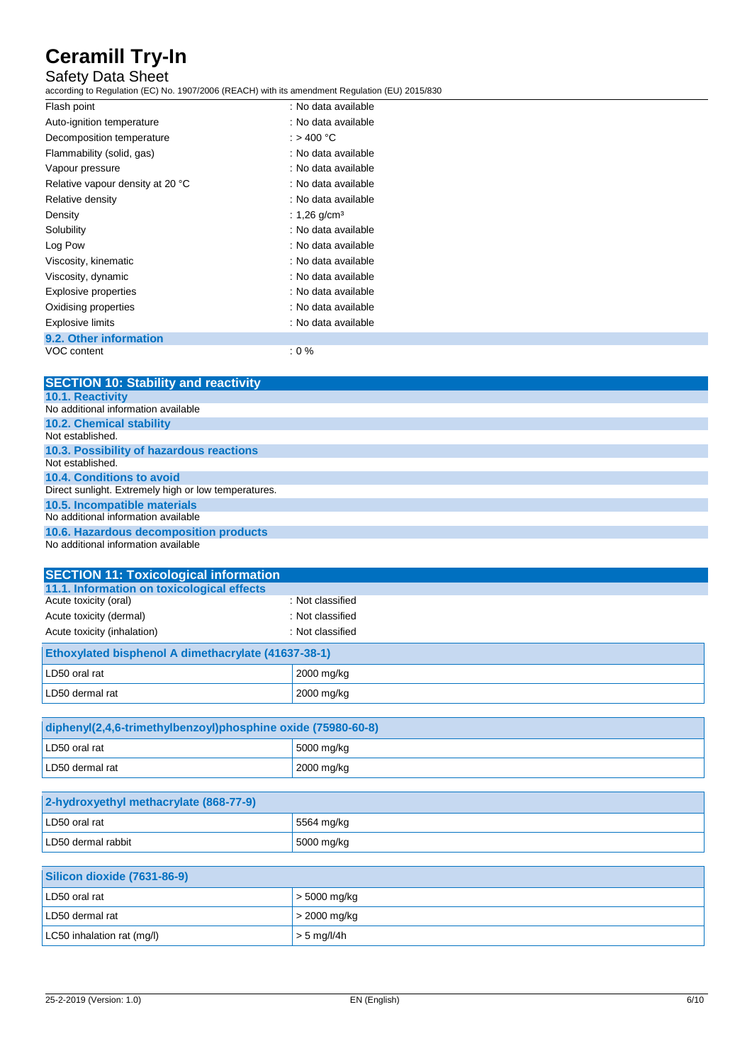## Safety Data Sheet

according to Regulation (EC) No. 1907/2006 (REACH) with its amendment Regulation (EU) 2015/830

| Flash point                      | : No data available      |  |
|----------------------------------|--------------------------|--|
| Auto-ignition temperature        | : No data available      |  |
| Decomposition temperature        | : > 400 °C               |  |
| Flammability (solid, gas)        | : No data available      |  |
| Vapour pressure                  | : No data available      |  |
| Relative vapour density at 20 °C | : No data available      |  |
| Relative density                 | : No data available      |  |
| Density                          | : 1,26 g/cm <sup>3</sup> |  |
| Solubility                       | : No data available      |  |
| Log Pow                          | : No data available      |  |
| Viscosity, kinematic             | : No data available      |  |
| Viscosity, dynamic               | : No data available      |  |
| Explosive properties             | : No data available      |  |
| Oxidising properties             | : No data available      |  |
| <b>Explosive limits</b>          | : No data available      |  |
| 9.2. Other information           |                          |  |
| VOC content                      | :0%                      |  |

| <b>SECTION 10: Stability and reactivity</b>          |
|------------------------------------------------------|
| <b>10.1. Reactivity</b>                              |
| No additional information available                  |
| <b>10.2. Chemical stability</b>                      |
| Not established.                                     |
| 10.3. Possibility of hazardous reactions             |
| Not established.                                     |
| 10.4. Conditions to avoid                            |
| Direct sunlight. Extremely high or low temperatures. |
| 10.5. Incompatible materials                         |
| No additional information available                  |
| 10.6. Hazardous decomposition products               |
| No additional information available                  |

| <b>SECTION 11: Toxicological information</b>        |                  |  |
|-----------------------------------------------------|------------------|--|
| 11.1. Information on toxicological effects          |                  |  |
| Acute toxicity (oral)                               | : Not classified |  |
| Acute toxicity (dermal)                             | : Not classified |  |
| Acute toxicity (inhalation)                         | : Not classified |  |
| Ethoxylated bisphenol A dimethacrylate (41637-38-1) |                  |  |
| LD50 oral rat                                       | 2000 mg/kg       |  |
| LD50 dermal rat                                     | 2000 mg/kg       |  |

| diphenyl(2,4,6-trimethylbenzoyl)phosphine oxide (75980-60-8) |            |
|--------------------------------------------------------------|------------|
| LD50 oral rat                                                | 5000 mg/kg |
| LD50 dermal rat                                              | 2000 mg/kg |

| 2-hydroxyethyl methacrylate (868-77-9) |                    |
|----------------------------------------|--------------------|
| LD50 oral rat                          | 5564 mg/kg         |
| LD50 dermal rabbit                     | $\vert$ 5000 mg/kg |

| Silicon dioxide (7631-86-9) |                      |
|-----------------------------|----------------------|
| LD50 oral rat               | $\vert$ > 5000 mg/kg |
| LD50 dermal rat             | $>$ 2000 mg/kg       |
| LC50 inhalation rat (mg/l)  | $\vert$ > 5 mg/l/4h  |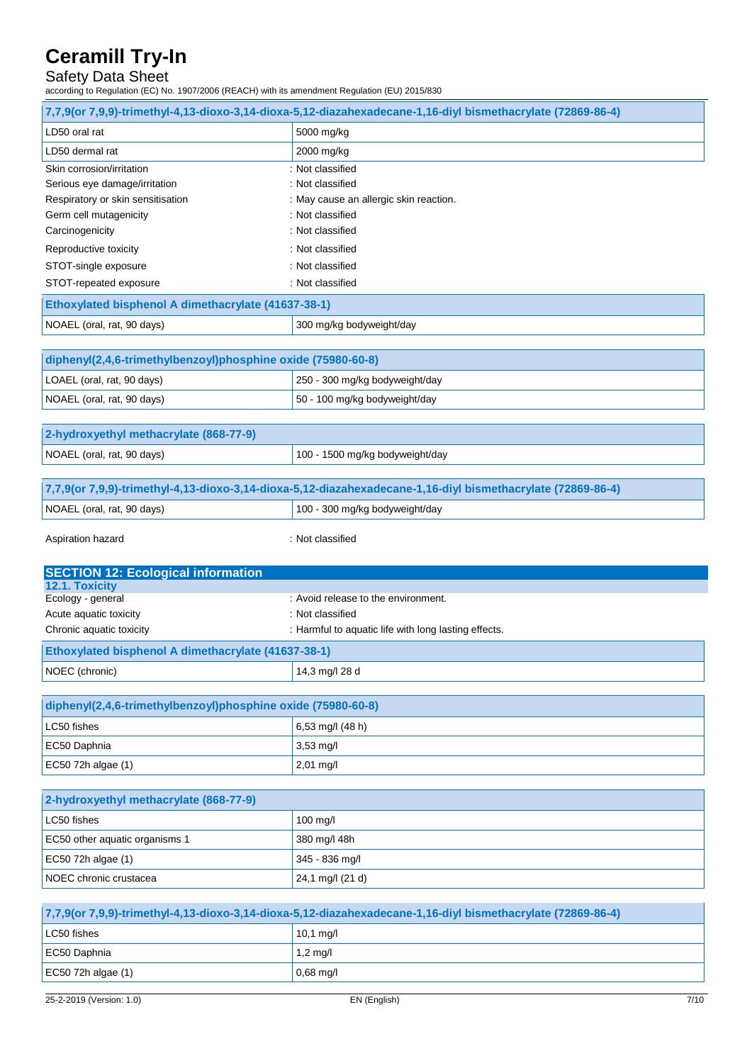## Safety Data Sheet

according to Regulation (EC) No. 1907/2006 (REACH) with its amendment Regulation (EU) 2015/830

Aspiration hazard is a set of the set of the set of the set of the set of the set of the set of the set of the set of the set of the set of the set of the set of the set of the set of the set of the set of the set of the s

| 7,7,9(or 7,9,9)-trimethyl-4,13-dioxo-3,14-dioxa-5,12-diazahexadecane-1,16-diyl bismethacrylate (72869-86-4) 7, |                                        |  |
|----------------------------------------------------------------------------------------------------------------|----------------------------------------|--|
| LD50 oral rat                                                                                                  | 5000 mg/kg                             |  |
| LD50 dermal rat                                                                                                | 2000 mg/kg                             |  |
| Skin corrosion/irritation                                                                                      | : Not classified                       |  |
| Serious eye damage/irritation                                                                                  | : Not classified                       |  |
| Respiratory or skin sensitisation                                                                              | : May cause an allergic skin reaction. |  |
| Germ cell mutagenicity                                                                                         | : Not classified                       |  |
| Carcinogenicity                                                                                                | : Not classified                       |  |
| Reproductive toxicity                                                                                          | : Not classified                       |  |
| STOT-single exposure                                                                                           | : Not classified                       |  |
| STOT-repeated exposure                                                                                         | : Not classified                       |  |
| Ethoxylated bisphenol A dimethacrylate (41637-38-1)                                                            |                                        |  |
| NOAEL (oral, rat, 90 days)                                                                                     | 300 mg/kg bodyweight/day               |  |

| diphenyl(2,4,6-trimethylbenzoyl)phosphine oxide (75980-60-8) |                                |
|--------------------------------------------------------------|--------------------------------|
| LOAEL (oral, rat, 90 days)                                   | 250 - 300 mg/kg bodyweight/day |
| NOAEL (oral, rat, 90 days)                                   | 50 - 100 mg/kg bodyweight/day  |

| 2-hydroxyethyl methacrylate (868-77-9) |                                 |
|----------------------------------------|---------------------------------|
| NOAEL (oral, rat, 90 days)             | 100 - 1500 mg/kg bodyweight/day |
|                                        |                                 |

| 7,7,9(or 7,9,9)-trimethyl-4,13-dioxo-3,14-dioxa-5,12-diazahexadecane-1,16-diyl bismethacrylate (72869-86-4) |                                |  |
|-------------------------------------------------------------------------------------------------------------|--------------------------------|--|
| NOAEL (oral, rat, 90 days)                                                                                  | 100 - 300 mg/kg bodyweight/day |  |
|                                                                                                             |                                |  |

| <b>SECTION 12: Ecological information</b>           |                                                      |  |
|-----------------------------------------------------|------------------------------------------------------|--|
| 12.1. Toxicity                                      |                                                      |  |
| Ecology - general                                   | : Avoid release to the environment.                  |  |
| Acute aquatic toxicity                              | : Not classified                                     |  |
| Chronic aquatic toxicity                            | : Harmful to aquatic life with long lasting effects. |  |
| Ethoxylated bisphenol A dimethacrylate (41637-38-1) |                                                      |  |
| NOEC (chronic)                                      | 14,3 mg/l 28 d                                       |  |

| diphenyl(2,4,6-trimethylbenzoyl)phosphine oxide (75980-60-8) |                            |  |
|--------------------------------------------------------------|----------------------------|--|
| LC50 fishes                                                  | $6,53 \text{ ma/l}$ (48 h) |  |
| EC50 Daphnia                                                 | $3.53 \text{ mq/l}$        |  |
| EC50 72h algae $(1)$                                         | $2,01 \text{ mg/l}$        |  |

| 2-hydroxyethyl methacrylate (868-77-9) |                     |
|----------------------------------------|---------------------|
| LC50 fishes                            | $100 \text{ m}$ g/l |
| EC50 other aquatic organisms 1         | 380 mg/l 48h        |
| EC50 72h algae $(1)$                   | 345 - 836 mg/l      |
| NOEC chronic crustacea                 | 24,1 mg/l (21 d)    |

| 7,7,9(or 7,9,9)-trimethyl-4,13-dioxo-3,14-dioxa-5,12-diazahexadecane-1,16-diyl bismethacrylate (72869-86-4) 7, |                     |  |
|----------------------------------------------------------------------------------------------------------------|---------------------|--|
| LC50 fishes                                                                                                    | $10,1 \text{ mg/l}$ |  |
| EC50 Daphnia                                                                                                   | $1,2 \text{ mq/l}$  |  |
| EC50 72h algae $(1)$                                                                                           | $0.68$ mg/l         |  |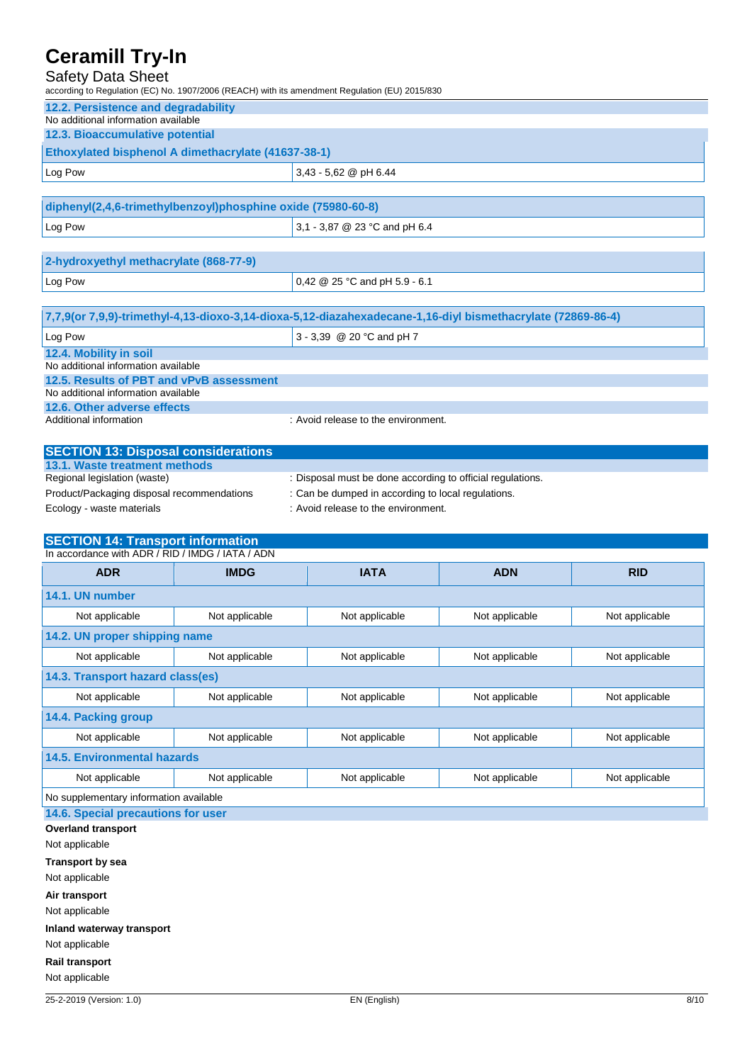### Safety Data Sheet

according to Regulation (EC) No. 1907/2006 (REACH) with its amendment Regulation (EU) 2015/830

| 12.2. Persistence and degradability                          |  |  |
|--------------------------------------------------------------|--|--|
| No additional information available                          |  |  |
| 12.3. Bioaccumulative potential                              |  |  |
| <b>Ethoxylated bisphenol A dimethacrylate (41637-38-1)</b>   |  |  |
| $3,43 - 5,62$ @ pH 6.44<br>Log Pow                           |  |  |
|                                                              |  |  |
| diphenyl(2,4,6-trimethylbenzoyl)phosphine oxide (75980-60-8) |  |  |

| $\frac{1}{2}$ alphany $\frac{1}{2}$ is a model joy of $\frac{1}{2}$ in the spins operator of $\frac{1}{2}$ occurs of $\frac{1}{2}$ |                                 |  |
|------------------------------------------------------------------------------------------------------------------------------------|---------------------------------|--|
| Log Pow                                                                                                                            | $3,1 - 3,87$ @ 23 °C and pH 6.4 |  |
|                                                                                                                                    |                                 |  |

| 2-hydroxyethyl methacrylate (868-77-9) |                                  |
|----------------------------------------|----------------------------------|
| Log Pow                                | $0,42 \& 25$ °C and pH 5.9 - 6.1 |
|                                        |                                  |

| 7,7,9(or 7,9,9)-trimethyl-4,13-dioxo-3,14-dioxa-5,12-diazahexadecane-1,16-diyl bismethacrylate (72869-86-4) |                                     |  |
|-------------------------------------------------------------------------------------------------------------|-------------------------------------|--|
| Log Pow                                                                                                     | $3 - 3.39 \ @ 20 °C$ and pH 7       |  |
| 12.4. Mobility in soil                                                                                      |                                     |  |
| No additional information available                                                                         |                                     |  |
| 12.5. Results of PBT and vPvB assessment                                                                    |                                     |  |
| No additional information available                                                                         |                                     |  |
| 12.6. Other adverse effects                                                                                 |                                     |  |
| Additional information                                                                                      | : Avoid release to the environment. |  |

| <b>SECTION 13: Disposal considerations</b> |                                                            |
|--------------------------------------------|------------------------------------------------------------|
| 13.1. Waste treatment methods              |                                                            |
| Regional legislation (waste)               | : Disposal must be done according to official regulations. |
| Product/Packaging disposal recommendations | : Can be dumped in according to local regulations.         |
| Ecology - waste materials                  | : Avoid release to the environment.                        |

## **SECTION 14: Transport information**

| In accordance with ADR / RID / IMDG / IATA / ADN |                |                |                |                |
|--------------------------------------------------|----------------|----------------|----------------|----------------|
| <b>ADR</b>                                       | <b>IMDG</b>    | <b>IATA</b>    | <b>ADN</b>     | <b>RID</b>     |
| 14.1. UN number                                  |                |                |                |                |
| Not applicable                                   | Not applicable | Not applicable | Not applicable | Not applicable |
| 14.2. UN proper shipping name                    |                |                |                |                |
| Not applicable                                   | Not applicable | Not applicable | Not applicable | Not applicable |
| 14.3. Transport hazard class(es)                 |                |                |                |                |
| Not applicable                                   | Not applicable | Not applicable | Not applicable | Not applicable |
| 14.4. Packing group                              |                |                |                |                |
| Not applicable                                   | Not applicable | Not applicable | Not applicable | Not applicable |
| <b>14.5. Environmental hazards</b>               |                |                |                |                |
| Not applicable                                   | Not applicable | Not applicable | Not applicable | Not applicable |
| No supplementary information available           |                |                |                |                |
| 14.6. Special precautions for user               |                |                |                |                |
| <b>Overland transport</b>                        |                |                |                |                |
| Not applicable                                   |                |                |                |                |
| <b>Transport by sea</b>                          |                |                |                |                |
| Not applicable                                   |                |                |                |                |

**Air transport**

Not applicable

**Inland waterway transport**

Not applicable

**Rail transport** Not applicable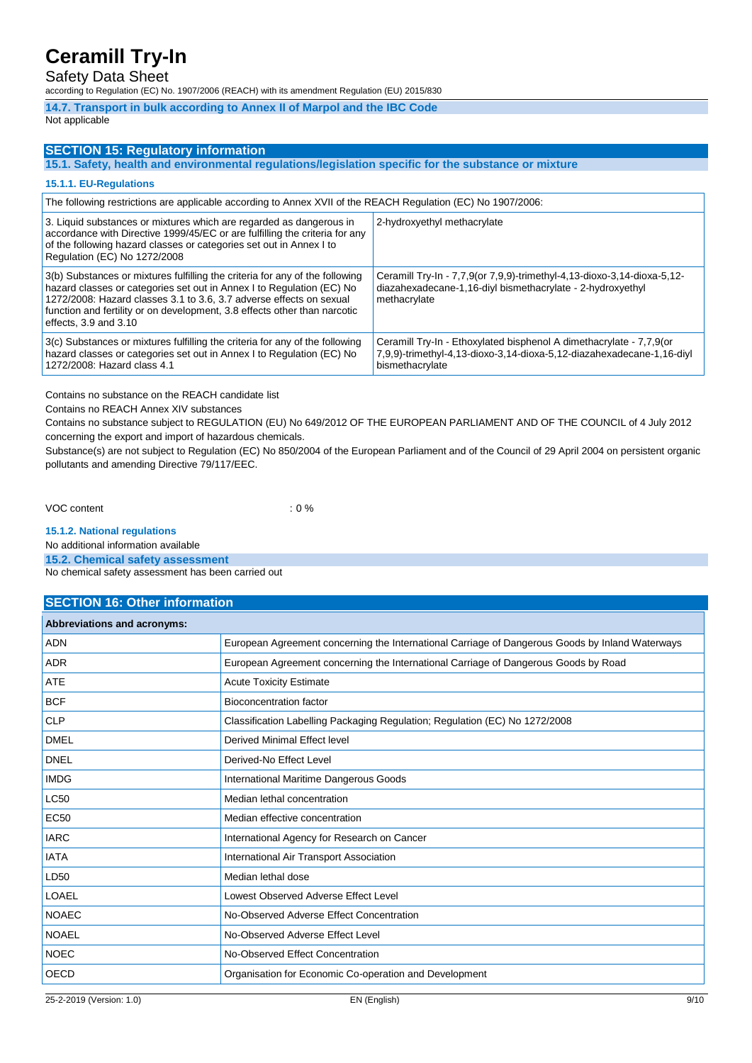## Safety Data Sheet

according to Regulation (EC) No. 1907/2006 (REACH) with its amendment Regulation (EU) 2015/830

**14.7. Transport in bulk according to Annex II of Marpol and the IBC Code**

#### Not applicable

### **SECTION 15: Regulatory information**

**15.1. Safety, health and environmental regulations/legislation specific for the substance or mixture**

#### **15.1.1. EU-Regulations**

| The following restrictions are applicable according to Annex XVII of the REACH Regulation (EC) No 1907/2006:                                                                                                                                                                                                                           |                                                                                                                                                                  |  |
|----------------------------------------------------------------------------------------------------------------------------------------------------------------------------------------------------------------------------------------------------------------------------------------------------------------------------------------|------------------------------------------------------------------------------------------------------------------------------------------------------------------|--|
| 3. Liquid substances or mixtures which are regarded as dangerous in<br>accordance with Directive 1999/45/EC or are fulfilling the criteria for any<br>of the following hazard classes or categories set out in Annex I to<br>Regulation (EC) No 1272/2008                                                                              | 2-hydroxyethyl methacrylate                                                                                                                                      |  |
| 3(b) Substances or mixtures fulfilling the criteria for any of the following<br>hazard classes or categories set out in Annex I to Regulation (EC) No<br>1272/2008: Hazard classes 3.1 to 3.6, 3.7 adverse effects on sexual<br>function and fertility or on development, 3.8 effects other than narcotic<br>effects, $3.9$ and $3.10$ | Ceramill Try-In - 7,7,9(or 7,9,9)-trimethyl-4,13-dioxo-3,14-dioxa-5,12-<br>diazahexadecane-1,16-diyl bismethacrylate - 2-hydroxyethyl<br>methacrylate            |  |
| 3(c) Substances or mixtures fulfilling the criteria for any of the following<br>hazard classes or categories set out in Annex I to Regulation (EC) No<br>1272/2008: Hazard class 4.1                                                                                                                                                   | Ceramill Try-In - Ethoxylated bisphenol A dimethacrylate - 7,7,9 (or<br>7,9,9)-trimethyl-4,13-dioxo-3,14-dioxa-5,12-diazahexadecane-1,16-diyl<br>bismethacrylate |  |

Contains no substance on the REACH candidate list

Contains no REACH Annex XIV substances

Contains no substance subject to REGULATION (EU) No 649/2012 OF THE EUROPEAN PARLIAMENT AND OF THE COUNCIL of 4 July 2012 concerning the export and import of hazardous chemicals.

Substance(s) are not subject to Regulation (EC) No 850/2004 of the European Parliament and of the Council of 29 April 2004 on persistent organic pollutants and amending Directive 79/117/EEC.

VOC content : 0 %

**15.1.2. National regulations**

No additional information available

**15.2. Chemical safety assessment**

No chemical safety assessment has been carried out

### **SECTION 16: Other information**

| <b>Abbreviations and acronyms:</b> |                                                                                                 |
|------------------------------------|-------------------------------------------------------------------------------------------------|
| <b>ADN</b>                         | European Agreement concerning the International Carriage of Dangerous Goods by Inland Waterways |
| <b>ADR</b>                         | European Agreement concerning the International Carriage of Dangerous Goods by Road             |
| <b>ATE</b>                         | <b>Acute Toxicity Estimate</b>                                                                  |
| <b>BCF</b>                         | <b>Bioconcentration factor</b>                                                                  |
| <b>CLP</b>                         | Classification Labelling Packaging Regulation; Regulation (EC) No 1272/2008                     |
| <b>DMEL</b>                        | Derived Minimal Effect level                                                                    |
| <b>DNEL</b>                        | Derived-No Effect Level                                                                         |
| <b>IMDG</b>                        | International Maritime Dangerous Goods                                                          |
| LC50                               | Median lethal concentration                                                                     |
| <b>EC50</b>                        | Median effective concentration                                                                  |
| <b>IARC</b>                        | International Agency for Research on Cancer                                                     |
| <b>IATA</b>                        | International Air Transport Association                                                         |
| LD50                               | Median lethal dose                                                                              |
| LOAEL                              | Lowest Observed Adverse Effect Level                                                            |
| <b>NOAEC</b>                       | No-Observed Adverse Effect Concentration                                                        |
| <b>NOAEL</b>                       | No-Observed Adverse Effect Level                                                                |
| <b>NOEC</b>                        | No-Observed Effect Concentration                                                                |
| <b>OECD</b>                        | Organisation for Economic Co-operation and Development                                          |